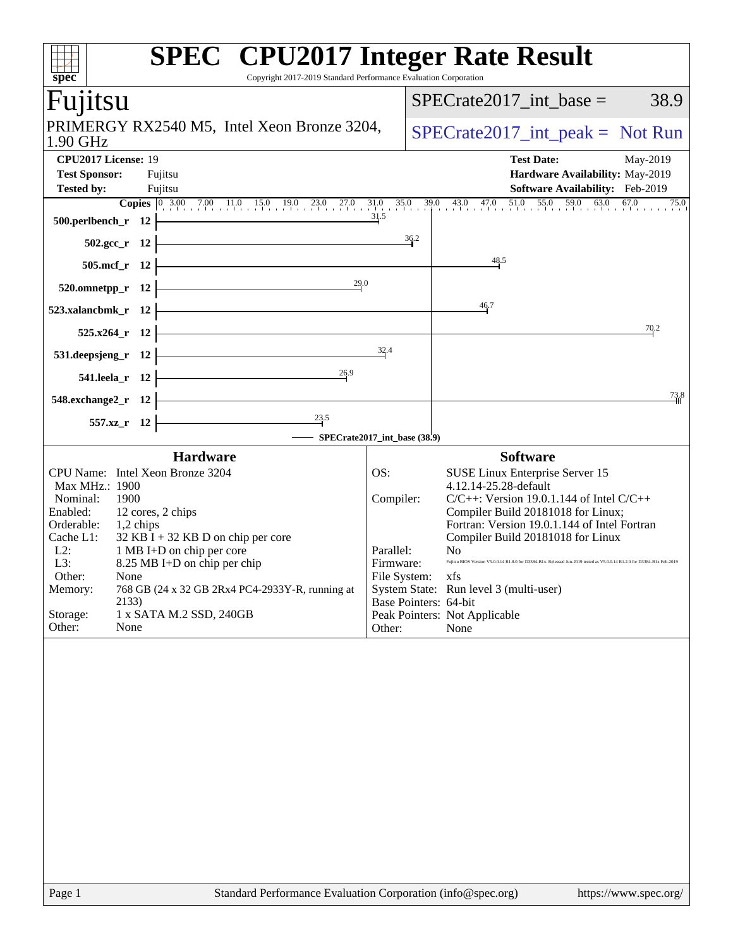| Copyright 2017-2019 Standard Performance Evaluation Corporation<br>spec <sup>®</sup> | <b>SPEC<sup>®</sup></b> CPU2017 Integer Rate Result                                                                                                                                    |
|--------------------------------------------------------------------------------------|----------------------------------------------------------------------------------------------------------------------------------------------------------------------------------------|
| Fujitsu                                                                              | $SPECrate2017\_int\_base =$<br>38.9                                                                                                                                                    |
| PRIMERGY RX2540 M5, Intel Xeon Bronze 3204,<br>1.90 GHz                              | $SPECrate2017\_int\_peak = Not Run$                                                                                                                                                    |
| CPU2017 License: 19                                                                  | <b>Test Date:</b><br>May-2019                                                                                                                                                          |
| <b>Test Sponsor:</b><br>Fujitsu                                                      | Hardware Availability: May-2019                                                                                                                                                        |
| <b>Tested by:</b><br>Fujitsu                                                         | Software Availability: Feb-2019                                                                                                                                                        |
| 500.perlbench_r 12                                                                   | <b>Copies</b> $\begin{bmatrix} 0 & 3.00 & 7.00 & 11.0 & 15.0 & 19.0 & 23.0 & 27.0 & 31.0 & 35.0 & 39.0 & 43.0 & 47.0 & 51.0 & 55.0 & 59.0 & 63.0 & 67.0 \end{bmatrix}$<br>75.0<br>31.5 |
| $502.\text{gcc}_r$ 12                                                                | 36.2                                                                                                                                                                                   |
| 505.mcf_r 12                                                                         | 48.5                                                                                                                                                                                   |
| 29.0<br>$520.0$ mnetpp_r 12                                                          |                                                                                                                                                                                        |
| 523.xalancbmk_r 12                                                                   | 46.7                                                                                                                                                                                   |
| 525.x264 r 12                                                                        | 70.2                                                                                                                                                                                   |
| 531.deepsjeng_r 12                                                                   | 32,4                                                                                                                                                                                   |
| 26.9<br>541.leela_r 12                                                               |                                                                                                                                                                                        |
| 548.exchange2_r 12                                                                   | 73.8                                                                                                                                                                                   |
| $\frac{23.5}{7}$<br>557.xz_r 12                                                      | - SPECrate2017_int_base (38.9)                                                                                                                                                         |
| <b>Hardware</b>                                                                      | <b>Software</b>                                                                                                                                                                        |
| CPU Name: Intel Xeon Bronze 3204                                                     | OS:<br><b>SUSE Linux Enterprise Server 15</b>                                                                                                                                          |
| Max MHz.: 1900                                                                       | 4.12.14-25.28-default                                                                                                                                                                  |
| Nominal:<br>1900<br>Enabled:<br>12 cores, 2 chips                                    | $C/C++$ : Version 19.0.1.144 of Intel $C/C++$<br>Compiler:<br>Compiler Build 20181018 for Linux;                                                                                       |
| Orderable:<br>1,2 chips<br>Cache L1:<br>$32$ KB I + 32 KB D on chip per core         | Fortran: Version 19.0.1.144 of Intel Fortran                                                                                                                                           |
| $L2$ :<br>1 MB I+D on chip per core                                                  | Compiler Build 20181018 for Linux<br>Parallel:<br>No                                                                                                                                   |
| L3:<br>8.25 MB I+D on chip per chip<br>Other:                                        | Fujitsu BIOS Version V5.0.0.14 R1.8.0 for D3384-B1x. Released Jun-2019 tested as V5.0.0.14 R1.2.0 for D3384-B1x Feb-2019<br>Firmware:<br>File System:                                  |
| None<br>768 GB (24 x 32 GB 2Rx4 PC4-2933Y-R, running at<br>Memory:                   | xfs<br>System State: Run level 3 (multi-user)                                                                                                                                          |
| 2133)<br>Storage:<br>1 x SATA M.2 SSD, 240GB                                         | Base Pointers: 64-bit<br>Peak Pointers: Not Applicable                                                                                                                                 |
| Other:<br>None                                                                       | None<br>Other:                                                                                                                                                                         |
|                                                                                      |                                                                                                                                                                                        |
| Page 1                                                                               | Standard Performance Evaluation Corporation (info@spec.org)<br>https://www.spec.org/                                                                                                   |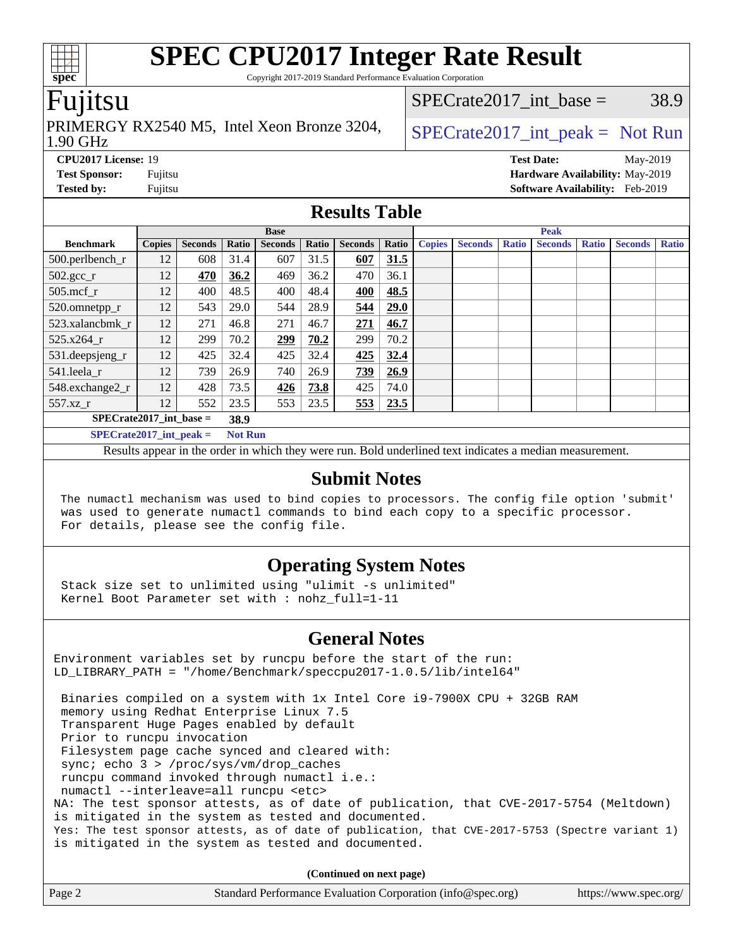Copyright 2017-2019 Standard Performance Evaluation Corporation

## Fujitsu

### 1.90 GHz PRIMERGY RX2540 M5, Intel Xeon Bronze 3204,  $\big|$  SPECrate 2017 int peak = Not Run

SPECrate2017 int\_base =  $38.9$ 

**[CPU2017 License:](http://www.spec.org/auto/cpu2017/Docs/result-fields.html#CPU2017License)** 19 **[Test Date:](http://www.spec.org/auto/cpu2017/Docs/result-fields.html#TestDate)** May-2019 **[Test Sponsor:](http://www.spec.org/auto/cpu2017/Docs/result-fields.html#TestSponsor)** Fujitsu **[Hardware Availability:](http://www.spec.org/auto/cpu2017/Docs/result-fields.html#HardwareAvailability)** May-2019 **[Tested by:](http://www.spec.org/auto/cpu2017/Docs/result-fields.html#Testedby)** Fujitsu **[Software Availability:](http://www.spec.org/auto/cpu2017/Docs/result-fields.html#SoftwareAvailability)** Feb-2019

## **[Results Table](http://www.spec.org/auto/cpu2017/Docs/result-fields.html#ResultsTable)**

|                             |               |                |                | <b>Base</b>    |       |                |       |               |                |              | <b>Peak</b>    |              |                |              |
|-----------------------------|---------------|----------------|----------------|----------------|-------|----------------|-------|---------------|----------------|--------------|----------------|--------------|----------------|--------------|
| <b>Benchmark</b>            | <b>Copies</b> | <b>Seconds</b> | Ratio          | <b>Seconds</b> | Ratio | <b>Seconds</b> | Ratio | <b>Copies</b> | <b>Seconds</b> | <b>Ratio</b> | <b>Seconds</b> | <b>Ratio</b> | <b>Seconds</b> | <b>Ratio</b> |
| 500.perlbench_r             | 12            | 608            | 31.4           | 607            | 31.5  | 607            | 31.5  |               |                |              |                |              |                |              |
| $502.\text{gcc}_r$          | 12            | 470            | 36.2           | 469            | 36.2  | 470            | 36.1  |               |                |              |                |              |                |              |
| $505$ .mcf r                | 12            | 400            | 48.5           | 400            | 48.4  | 400            | 48.5  |               |                |              |                |              |                |              |
| 520.omnetpp_r               | 12            | 543            | 29.0           | 544            | 28.9  | 544            | 29.0  |               |                |              |                |              |                |              |
| 523.xalancbmk r             | 12            | 271            | 46.8           | 271            | 46.7  | 271            | 46.7  |               |                |              |                |              |                |              |
| 525.x264 r                  | 12            | 299            | 70.2           | 299            | 70.2  | 299            | 70.2  |               |                |              |                |              |                |              |
| 531.deepsjeng_r             | 12            | 425            | 32.4           | 425            | 32.4  | 425            | 32.4  |               |                |              |                |              |                |              |
| 541.leela r                 | 12            | 739            | 26.9           | 740            | 26.9  | 739            | 26.9  |               |                |              |                |              |                |              |
| 548.exchange2_r             | 12            | 428            | 73.5           | 426            | 73.8  | 425            | 74.0  |               |                |              |                |              |                |              |
| 557.xz r                    | 12            | 552            | 23.5           | 553            | 23.5  | 553            | 23.5  |               |                |              |                |              |                |              |
| $SPECrate2017$ int base =   |               |                | 38.9           |                |       |                |       |               |                |              |                |              |                |              |
| $SPECrate2017\_int\_peak =$ |               |                | <b>Not Run</b> |                |       |                |       |               |                |              |                |              |                |              |

Results appear in the [order in which they were run](http://www.spec.org/auto/cpu2017/Docs/result-fields.html#RunOrder). Bold underlined text [indicates a median measurement](http://www.spec.org/auto/cpu2017/Docs/result-fields.html#Median).

## **[Submit Notes](http://www.spec.org/auto/cpu2017/Docs/result-fields.html#SubmitNotes)**

 The numactl mechanism was used to bind copies to processors. The config file option 'submit' was used to generate numactl commands to bind each copy to a specific processor. For details, please see the config file.

## **[Operating System Notes](http://www.spec.org/auto/cpu2017/Docs/result-fields.html#OperatingSystemNotes)**

 Stack size set to unlimited using "ulimit -s unlimited" Kernel Boot Parameter set with : nohz\_full=1-11

### **[General Notes](http://www.spec.org/auto/cpu2017/Docs/result-fields.html#GeneralNotes)**

Environment variables set by runcpu before the start of the run: LD\_LIBRARY\_PATH = "/home/Benchmark/speccpu2017-1.0.5/lib/intel64"

 Binaries compiled on a system with 1x Intel Core i9-7900X CPU + 32GB RAM memory using Redhat Enterprise Linux 7.5 Transparent Huge Pages enabled by default Prior to runcpu invocation Filesystem page cache synced and cleared with: sync; echo 3 > /proc/sys/vm/drop\_caches runcpu command invoked through numactl i.e.: numactl --interleave=all runcpu <etc> NA: The test sponsor attests, as of date of publication, that CVE-2017-5754 (Meltdown) is mitigated in the system as tested and documented. Yes: The test sponsor attests, as of date of publication, that CVE-2017-5753 (Spectre variant 1) is mitigated in the system as tested and documented.

**(Continued on next page)**

| Page 2 | Standard Performance Evaluation Corporation (info@spec.org) | https://www.spec.org/ |
|--------|-------------------------------------------------------------|-----------------------|

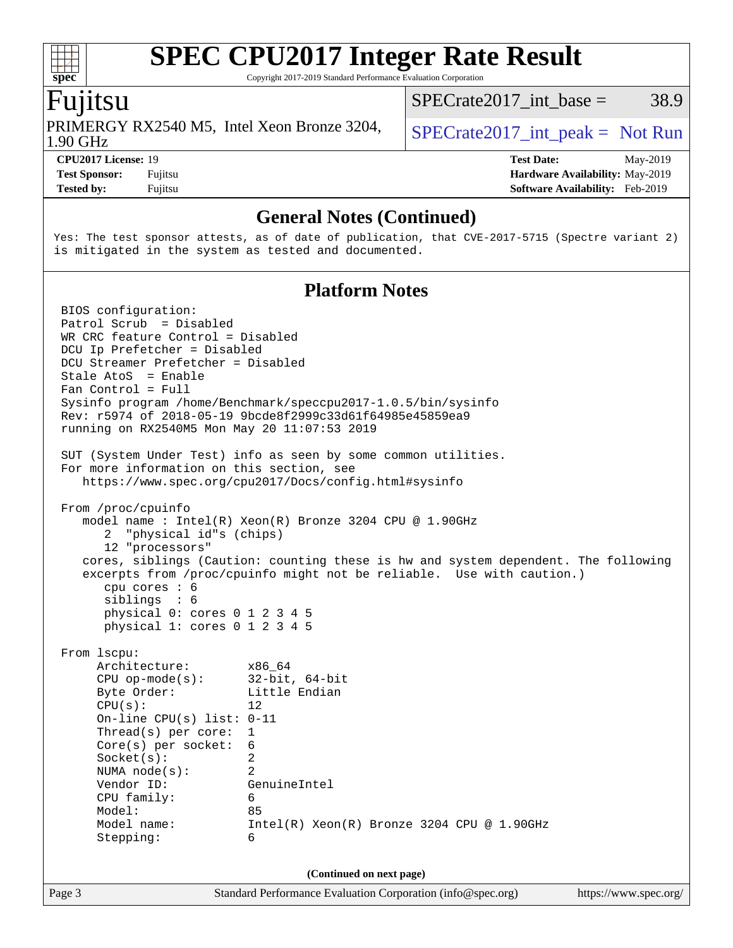Copyright 2017-2019 Standard Performance Evaluation Corporation

## Fujitsu

**[spec](http://www.spec.org/)**

 $+\ +$ 

1.90 GHz PRIMERGY RX2540 M5, Intel Xeon Bronze 3204,  $\big|$  SPECrate 2017 int peak = Not Run

 $SPECTate2017\_int\_base = 38.9$ 

**[CPU2017 License:](http://www.spec.org/auto/cpu2017/Docs/result-fields.html#CPU2017License)** 19 **[Test Date:](http://www.spec.org/auto/cpu2017/Docs/result-fields.html#TestDate)** May-2019 **[Test Sponsor:](http://www.spec.org/auto/cpu2017/Docs/result-fields.html#TestSponsor)** Fujitsu **[Hardware Availability:](http://www.spec.org/auto/cpu2017/Docs/result-fields.html#HardwareAvailability)** May-2019 **[Tested by:](http://www.spec.org/auto/cpu2017/Docs/result-fields.html#Testedby)** Fujitsu **[Software Availability:](http://www.spec.org/auto/cpu2017/Docs/result-fields.html#SoftwareAvailability)** Feb-2019

## **[General Notes \(Continued\)](http://www.spec.org/auto/cpu2017/Docs/result-fields.html#GeneralNotes)**

Yes: The test sponsor attests, as of date of publication, that CVE-2017-5715 (Spectre variant 2) is mitigated in the system as tested and documented.

## **[Platform Notes](http://www.spec.org/auto/cpu2017/Docs/result-fields.html#PlatformNotes)**

Page 3 Standard Performance Evaluation Corporation [\(info@spec.org\)](mailto:info@spec.org) <https://www.spec.org/> BIOS configuration: Patrol Scrub = Disabled WR CRC feature Control = Disabled DCU Ip Prefetcher = Disabled DCU Streamer Prefetcher = Disabled Stale AtoS = Enable Fan Control = Full Sysinfo program /home/Benchmark/speccpu2017-1.0.5/bin/sysinfo Rev: r5974 of 2018-05-19 9bcde8f2999c33d61f64985e45859ea9 running on RX2540M5 Mon May 20 11:07:53 2019 SUT (System Under Test) info as seen by some common utilities. For more information on this section, see <https://www.spec.org/cpu2017/Docs/config.html#sysinfo> From /proc/cpuinfo model name : Intel(R) Xeon(R) Bronze 3204 CPU @ 1.90GHz 2 "physical id"s (chips) 12 "processors" cores, siblings (Caution: counting these is hw and system dependent. The following excerpts from /proc/cpuinfo might not be reliable. Use with caution.) cpu cores : 6 siblings : 6 physical 0: cores 0 1 2 3 4 5 physical 1: cores 0 1 2 3 4 5 From lscpu: Architecture: x86\_64 CPU op-mode(s): 32-bit, 64-bit Byte Order: Little Endian  $CPU(s):$  12 On-line CPU(s) list: 0-11 Thread(s) per core: 1 Core(s) per socket: 6 Socket(s): 2 NUMA node(s): 2 Vendor ID: GenuineIntel CPU family: 6 Model: 85 Model name: Intel(R) Xeon(R) Bronze 3204 CPU @ 1.90GHz Stepping: 6 **(Continued on next page)**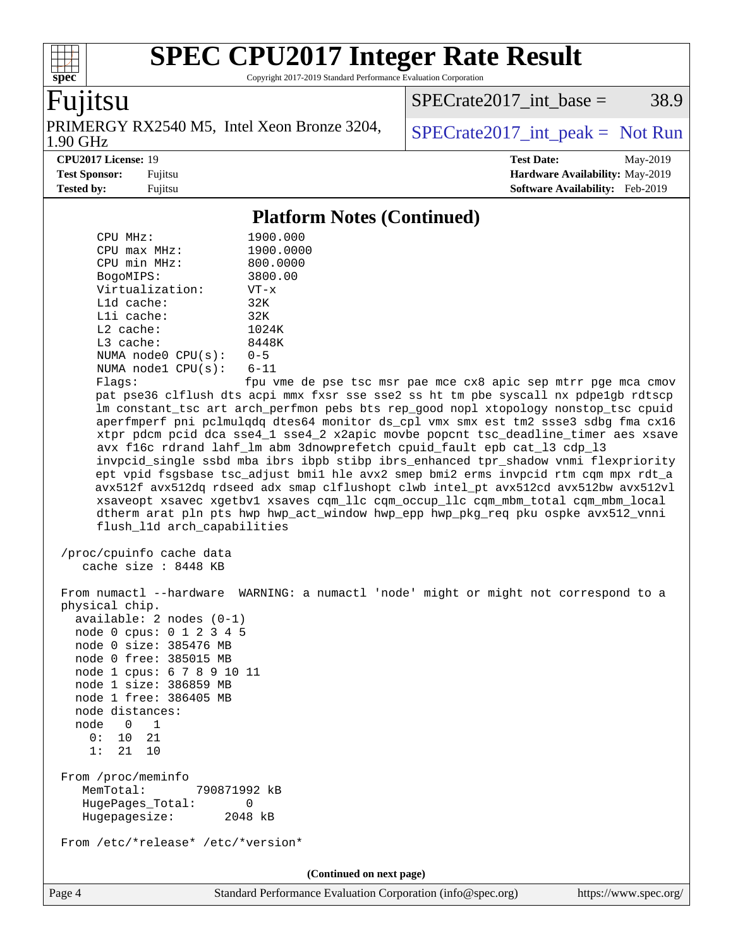Copyright 2017-2019 Standard Performance Evaluation Corporation

## Fujitsu

**[spec](http://www.spec.org/)**

1.90 GHz PRIMERGY RX2540 M5, Intel Xeon Bronze 3204,  $\big|$  SPECrate 2017 int peak = Not Run

 $SPECTate2017\_int\_base = 38.9$ 

**[CPU2017 License:](http://www.spec.org/auto/cpu2017/Docs/result-fields.html#CPU2017License)** 19 **[Test Date:](http://www.spec.org/auto/cpu2017/Docs/result-fields.html#TestDate)** May-2019 **[Test Sponsor:](http://www.spec.org/auto/cpu2017/Docs/result-fields.html#TestSponsor)** Fujitsu **[Hardware Availability:](http://www.spec.org/auto/cpu2017/Docs/result-fields.html#HardwareAvailability)** May-2019 **[Tested by:](http://www.spec.org/auto/cpu2017/Docs/result-fields.html#Testedby)** Fujitsu **Fugital Example 2019 [Software Availability:](http://www.spec.org/auto/cpu2017/Docs/result-fields.html#SoftwareAvailability)** Feb-2019

## **[Platform Notes \(Continued\)](http://www.spec.org/auto/cpu2017/Docs/result-fields.html#PlatformNotes)**

| CPU MHz:               | 1900.000      |
|------------------------|---------------|
| $CPIJ$ max $MHz$ :     | 1900.0000     |
| CPU min MHz:           | 800.0000      |
| BogoMIPS:              | 3800.00       |
| Virtualization:        | $VT - x$      |
| $L1d$ cache:           | 32K           |
| Lli cache:             | 32K           |
| $L2$ cache:            | 1024K         |
| $L3$ cache:            | 8448K         |
| NUMA $node0$ $CPU(s):$ | $0 - 5$       |
| NUMA node1 CPU(s):     | $6 - 11$      |
| --                     | $\sim$ $\sim$ |

 Flags: fpu vme de pse tsc msr pae mce cx8 apic sep mtrr pge mca cmov pat pse36 clflush dts acpi mmx fxsr sse sse2 ss ht tm pbe syscall nx pdpe1gb rdtscp lm constant\_tsc art arch\_perfmon pebs bts rep\_good nopl xtopology nonstop\_tsc cpuid aperfmperf pni pclmulqdq dtes64 monitor ds\_cpl vmx smx est tm2 ssse3 sdbg fma cx16 xtpr pdcm pcid dca sse4\_1 sse4\_2 x2apic movbe popcnt tsc\_deadline\_timer aes xsave avx f16c rdrand lahf\_lm abm 3dnowprefetch cpuid\_fault epb cat\_l3 cdp\_l3 invpcid\_single ssbd mba ibrs ibpb stibp ibrs\_enhanced tpr\_shadow vnmi flexpriority ept vpid fsgsbase tsc\_adjust bmi1 hle avx2 smep bmi2 erms invpcid rtm cqm mpx rdt\_a avx512f avx512dq rdseed adx smap clflushopt clwb intel\_pt avx512cd avx512bw avx512vl xsaveopt xsavec xgetbv1 xsaves cqm\_llc cqm\_occup\_llc cqm\_mbm\_total cqm\_mbm\_local dtherm arat pln pts hwp hwp\_act\_window hwp\_epp hwp\_pkg\_req pku ospke avx512\_vnni flush\_l1d arch\_capabilities

```
 /proc/cpuinfo cache data
cache size : 8448 KB
```
 From numactl --hardware WARNING: a numactl 'node' might or might not correspond to a physical chip. available: 2 nodes (0-1) node 0 cpus: 0 1 2 3 4 5 node 0 size: 385476 MB node 0 free: 385015 MB node 1 cpus: 6 7 8 9 10 11 node 1 size: 386859 MB node 1 free: 386405 MB node distances: node 0 1 0: 10 21 1: 21 10 From /proc/meminfo MemTotal: 790871992 kB HugePages\_Total: 0 Hugepagesize: 2048 kB From /etc/\*release\* /etc/\*version\*

**(Continued on next page)**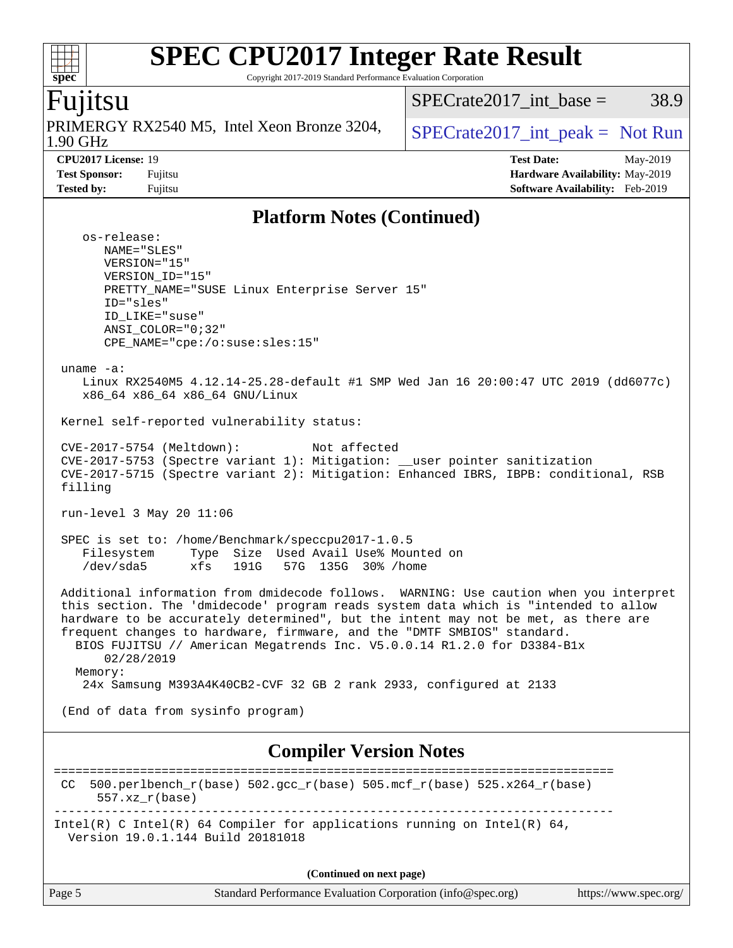Copyright 2017-2019 Standard Performance Evaluation Corporation

## Fujitsu

**[spec](http://www.spec.org/)**

1.90 GHz PRIMERGY RX2540 M5, Intel Xeon Bronze 3204,  $\big|$  SPECrate 2017 int peak = Not Run

SPECrate2017 int\_base =  $38.9$ 

**[CPU2017 License:](http://www.spec.org/auto/cpu2017/Docs/result-fields.html#CPU2017License)** 19 **[Test Date:](http://www.spec.org/auto/cpu2017/Docs/result-fields.html#TestDate)** May-2019 **[Test Sponsor:](http://www.spec.org/auto/cpu2017/Docs/result-fields.html#TestSponsor)** Fujitsu **[Hardware Availability:](http://www.spec.org/auto/cpu2017/Docs/result-fields.html#HardwareAvailability)** May-2019 **[Tested by:](http://www.spec.org/auto/cpu2017/Docs/result-fields.html#Testedby)** Fujitsu **[Software Availability:](http://www.spec.org/auto/cpu2017/Docs/result-fields.html#SoftwareAvailability)** Feb-2019

## **[Platform Notes \(Continued\)](http://www.spec.org/auto/cpu2017/Docs/result-fields.html#PlatformNotes)**

 os-release: NAME="SLES" VERSION="15" VERSION\_ID="15" PRETTY\_NAME="SUSE Linux Enterprise Server 15" ID="sles" ID\_LIKE="suse" ANSI\_COLOR="0;32" CPE\_NAME="cpe:/o:suse:sles:15" uname -a: Linux RX2540M5 4.12.14-25.28-default #1 SMP Wed Jan 16 20:00:47 UTC 2019 (dd6077c) x86\_64 x86\_64 x86\_64 GNU/Linux Kernel self-reported vulnerability status: CVE-2017-5754 (Meltdown): Not affected CVE-2017-5753 (Spectre variant 1): Mitigation: \_\_user pointer sanitization CVE-2017-5715 (Spectre variant 2): Mitigation: Enhanced IBRS, IBPB: conditional, RSB filling run-level 3 May 20 11:06 SPEC is set to: /home/Benchmark/speccpu2017-1.0.5 Filesystem Type Size Used Avail Use% Mounted on /dev/sda5 xfs 191G 57G 135G 30% /home Additional information from dmidecode follows. WARNING: Use caution when you interpret this section. The 'dmidecode' program reads system data which is "intended to allow hardware to be accurately determined", but the intent may not be met, as there are frequent changes to hardware, firmware, and the "DMTF SMBIOS" standard. BIOS FUJITSU // American Megatrends Inc. V5.0.0.14 R1.2.0 for D3384-B1x 02/28/2019 Memory: 24x Samsung M393A4K40CB2-CVF 32 GB 2 rank 2933, configured at 2133 (End of data from sysinfo program) **[Compiler Version Notes](http://www.spec.org/auto/cpu2017/Docs/result-fields.html#CompilerVersionNotes)** ============================================================================== CC 500.perlbench\_r(base) 502.gcc\_r(base) 505.mcf\_r(base) 525.x264\_r(base) 557.xz\_r(base) ------------------------------------------------------------------------------ Intel(R) C Intel(R) 64 Compiler for applications running on Intel(R)  $64$ , Version 19.0.1.144 Build 20181018

**(Continued on next page)**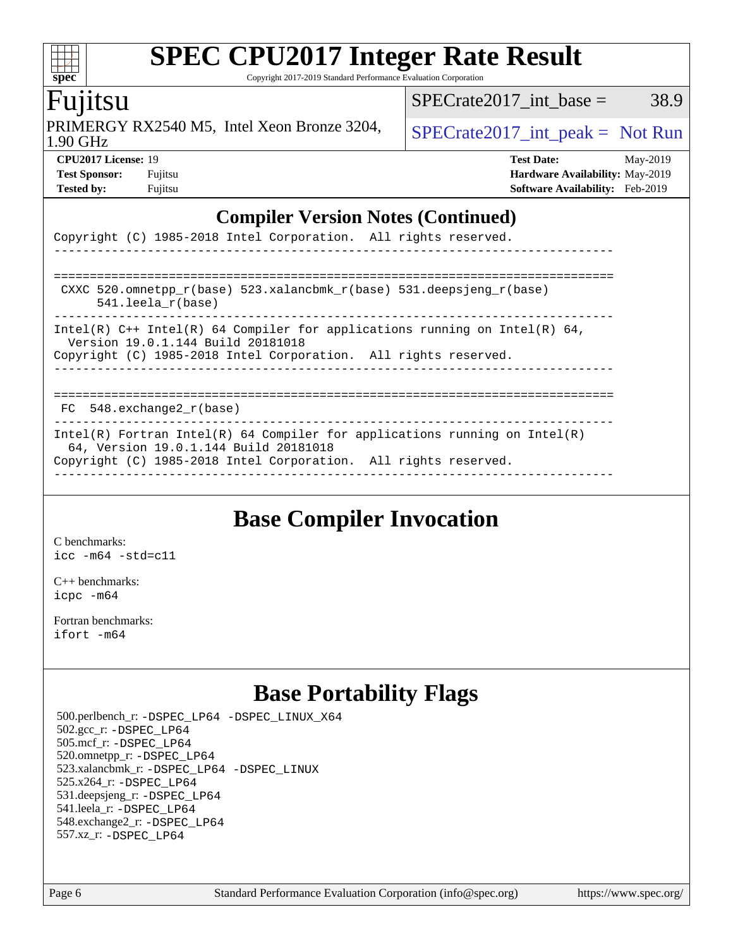Copyright 2017-2019 Standard Performance Evaluation Corporation

## Fujitsu

**[spec](http://www.spec.org/)**

 $\pm\pm\prime$ 

1.90 GHz PRIMERGY RX2540 M5, Intel Xeon Bronze 3204,  $\big|$  SPECrate 2017 int peak = Not Run

 $SPECTate2017\_int\_base = 38.9$ 

| $CI Q = 1 / LICUSC. 17$ |         |
|-------------------------|---------|
| <b>Test Sponsor:</b>    | Fujits  |
| <b>Tested by:</b>       | Fujitsu |

**[CPU2017 License:](http://www.spec.org/auto/cpu2017/Docs/result-fields.html#CPU2017License)** 19 **[Test Date:](http://www.spec.org/auto/cpu2017/Docs/result-fields.html#TestDate)** May-2019 **[Test Sponsor:](http://www.spec.org/auto/cpu2017/Docs/result-fields.html#TestSponsor) Fujitsu Except Sponsor: Fujitsu [Hardware Availability:](http://www.spec.org/auto/cpu2017/Docs/result-fields.html#HardwareAvailability)** May-2019 **[Tested by:](http://www.spec.org/auto/cpu2017/Docs/result-fields.html#Testedby)** Fundamental by: **[Software Availability:](http://www.spec.org/auto/cpu2017/Docs/result-fields.html#SoftwareAvailability)** Feb-2019

## **[Compiler Version Notes \(Continued\)](http://www.spec.org/auto/cpu2017/Docs/result-fields.html#CompilerVersionNotes)**

| Copyright (C) 1985-2018 Intel Corporation. All rights reserved.                                                                                                                          |
|------------------------------------------------------------------------------------------------------------------------------------------------------------------------------------------|
| CXXC 520.omnetpp_r(base) 523.xalancbmk_r(base) 531.deepsjeng_r(base)<br>$541.$ leela r(base)                                                                                             |
| Intel(R) $C++$ Intel(R) 64 Compiler for applications running on Intel(R) 64,<br>Version 19.0.1.144 Build 20181018<br>Copyright (C) 1985-2018 Intel Corporation. All rights reserved.     |
| FC 548. exchange2 r(base)                                                                                                                                                                |
| $Intel(R)$ Fortran Intel(R) 64 Compiler for applications running on Intel(R)<br>64, Version 19.0.1.144 Build 20181018<br>Copyright (C) 1985-2018 Intel Corporation. All rights reserved. |

## **[Base Compiler Invocation](http://www.spec.org/auto/cpu2017/Docs/result-fields.html#BaseCompilerInvocation)**

[C benchmarks](http://www.spec.org/auto/cpu2017/Docs/result-fields.html#Cbenchmarks): [icc -m64 -std=c11](http://www.spec.org/cpu2017/results/res2019q2/cpu2017-20190527-14834.flags.html#user_CCbase_intel_icc_64bit_c11_33ee0cdaae7deeeab2a9725423ba97205ce30f63b9926c2519791662299b76a0318f32ddfffdc46587804de3178b4f9328c46fa7c2b0cd779d7a61945c91cd35)

[C++ benchmarks:](http://www.spec.org/auto/cpu2017/Docs/result-fields.html#CXXbenchmarks) [icpc -m64](http://www.spec.org/cpu2017/results/res2019q2/cpu2017-20190527-14834.flags.html#user_CXXbase_intel_icpc_64bit_4ecb2543ae3f1412ef961e0650ca070fec7b7afdcd6ed48761b84423119d1bf6bdf5cad15b44d48e7256388bc77273b966e5eb805aefd121eb22e9299b2ec9d9)

[Fortran benchmarks](http://www.spec.org/auto/cpu2017/Docs/result-fields.html#Fortranbenchmarks): [ifort -m64](http://www.spec.org/cpu2017/results/res2019q2/cpu2017-20190527-14834.flags.html#user_FCbase_intel_ifort_64bit_24f2bb282fbaeffd6157abe4f878425411749daecae9a33200eee2bee2fe76f3b89351d69a8130dd5949958ce389cf37ff59a95e7a40d588e8d3a57e0c3fd751)

# **[Base Portability Flags](http://www.spec.org/auto/cpu2017/Docs/result-fields.html#BasePortabilityFlags)**

 500.perlbench\_r: [-DSPEC\\_LP64](http://www.spec.org/cpu2017/results/res2019q2/cpu2017-20190527-14834.flags.html#b500.perlbench_r_basePORTABILITY_DSPEC_LP64) [-DSPEC\\_LINUX\\_X64](http://www.spec.org/cpu2017/results/res2019q2/cpu2017-20190527-14834.flags.html#b500.perlbench_r_baseCPORTABILITY_DSPEC_LINUX_X64) 502.gcc\_r: [-DSPEC\\_LP64](http://www.spec.org/cpu2017/results/res2019q2/cpu2017-20190527-14834.flags.html#suite_basePORTABILITY502_gcc_r_DSPEC_LP64) 505.mcf\_r: [-DSPEC\\_LP64](http://www.spec.org/cpu2017/results/res2019q2/cpu2017-20190527-14834.flags.html#suite_basePORTABILITY505_mcf_r_DSPEC_LP64) 520.omnetpp\_r: [-DSPEC\\_LP64](http://www.spec.org/cpu2017/results/res2019q2/cpu2017-20190527-14834.flags.html#suite_basePORTABILITY520_omnetpp_r_DSPEC_LP64) 523.xalancbmk\_r: [-DSPEC\\_LP64](http://www.spec.org/cpu2017/results/res2019q2/cpu2017-20190527-14834.flags.html#suite_basePORTABILITY523_xalancbmk_r_DSPEC_LP64) [-DSPEC\\_LINUX](http://www.spec.org/cpu2017/results/res2019q2/cpu2017-20190527-14834.flags.html#b523.xalancbmk_r_baseCXXPORTABILITY_DSPEC_LINUX) 525.x264\_r: [-DSPEC\\_LP64](http://www.spec.org/cpu2017/results/res2019q2/cpu2017-20190527-14834.flags.html#suite_basePORTABILITY525_x264_r_DSPEC_LP64) 531.deepsjeng\_r: [-DSPEC\\_LP64](http://www.spec.org/cpu2017/results/res2019q2/cpu2017-20190527-14834.flags.html#suite_basePORTABILITY531_deepsjeng_r_DSPEC_LP64) 541.leela\_r: [-DSPEC\\_LP64](http://www.spec.org/cpu2017/results/res2019q2/cpu2017-20190527-14834.flags.html#suite_basePORTABILITY541_leela_r_DSPEC_LP64) 548.exchange2\_r: [-DSPEC\\_LP64](http://www.spec.org/cpu2017/results/res2019q2/cpu2017-20190527-14834.flags.html#suite_basePORTABILITY548_exchange2_r_DSPEC_LP64) 557.xz\_r: [-DSPEC\\_LP64](http://www.spec.org/cpu2017/results/res2019q2/cpu2017-20190527-14834.flags.html#suite_basePORTABILITY557_xz_r_DSPEC_LP64)